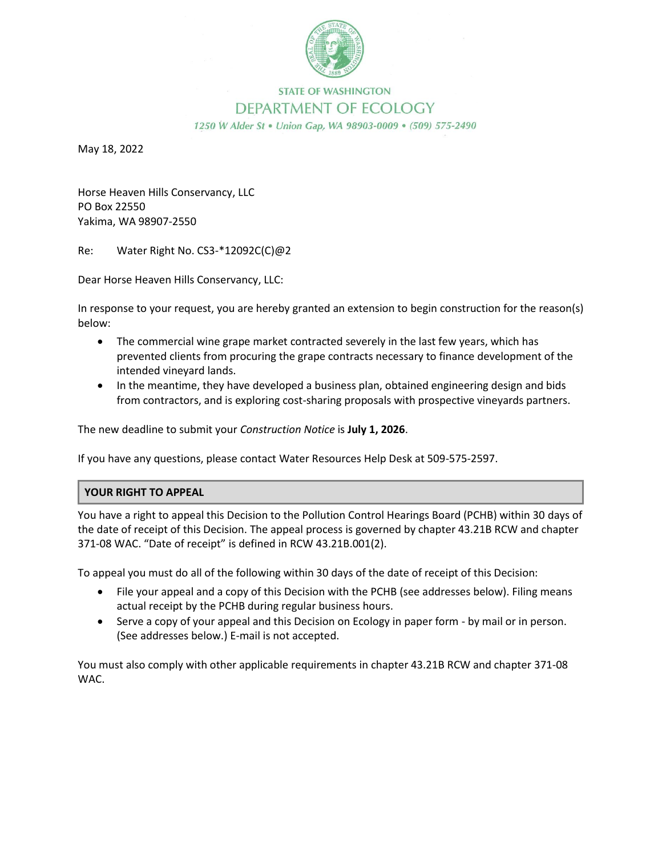

## **STATE OF WASHINGTON** DEPARTMENT OF ECOLOGY

1250 W Alder St . Union Gap, WA 98903-0009 . (509) 575-2490

May 18, 2022

Horse Heaven Hills Conservancy, LLC PO Box 22550 Yakima, WA 98907-2550

Re: Water Right No. CS3-\*12092C(C)@2

Dear Horse Heaven Hills Conservancy, LLC:

In response to your request, you are hereby granted an extension to begin construction for the reason(s) below:

- The commercial wine grape market contracted severely in the last few years, which has prevented clients from procuring the grape contracts necessary to finance development of the intended vineyard lands.
- In the meantime, they have developed a business plan, obtained engineering design and bids from contractors, and is exploring cost-sharing proposals with prospective vineyards partners.

The new deadline to submit your *Construction Notice* is **July 1, 2026**.

If you have any questions, please contact Water Resources Help Desk at 509-575-2597.

## **YOUR RIGHT TO APPEAL**

You have a right to appeal this Decision to the Pollution Control Hearings Board (PCHB) within 30 days of the date of receipt of this Decision. The appeal process is governed by chapter 43.21B RCW and chapter 371-08 WAC. "Date of receipt" is defined in RCW 43.21B.001(2).

To appeal you must do all of the following within 30 days of the date of receipt of this Decision:

- File your appeal and a copy of this Decision with the PCHB (see addresses below). Filing means actual receipt by the PCHB during regular business hours.
- Serve a copy of your appeal and this Decision on Ecology in paper form by mail or in person. (See addresses below.) E-mail is not accepted.

You must also comply with other applicable requirements in chapter 43.21B RCW and chapter 371-08 WAC.